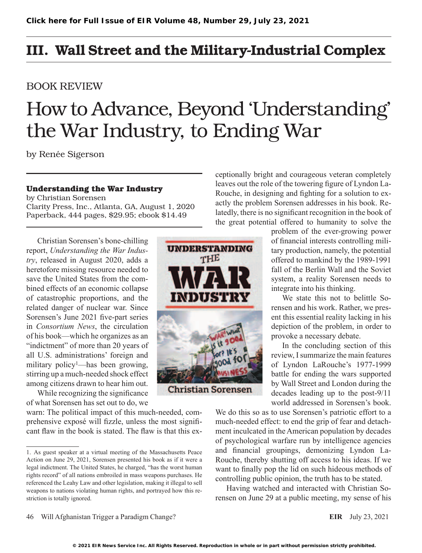## III. Wall Street and the Military-Industrial Complex

### BOOK REVIEW

# How to Advance, Beyond 'Understanding' the War Industry, to Ending War

by Renée Sigerson

### **Understanding the War Industry**

by Christian Sorensen Clarity Press, Inc., Atlanta, GA, August 1, 2020 Paperback, 444 pages, \$29.95; ebook \$14.49

Christian Sorensen's bone-chilling report, *Understanding the War Industry*, released in August 2020, adds a heretofore missing resource needed to save the United States from the combined effects of an economic collapse of catastrophic proportions, and the related danger of nuclear war. Since Sorensen's June 2021 five-part series in *Consortium News*, the circulation of his book—which he organizes as an "indictment" of more than 20 years of all U.S. administrations' foreign and military policy<sup>1</sup>—has been growing, stirring up a much-needed shock effect among citizens drawn to hear him out.

While recognizing the significance of what Sorensen has set out to do, we

warn: The political impact of this much-needed, comprehensive exposé will fizzle, unless the most significant flaw in the book is stated. The flaw is that this ex-

**UNDERSTANDING** THE INDUSTRY **Christian Sorensen** 

ceptionally bright and courageous veteran completely leaves out the role of the towering figure of Lyndon La-Rouche, in designing and fighting for a solution to exactly the problem Sorensen addresses in his book. Relatedly, there is no significant recognition in the book of the great potential offered to humanity to solve the

> problem of the ever-growing power of financial interests controlling military production, namely, the potential offered to mankind by the 1989-1991 fall of the Berlin Wall and the Soviet system, a reality Sorensen needs to integrate into his thinking.

> We state this not to belittle Sorensen and his work. Rather, we present this essential reality lacking in his depiction of the problem, in order to provoke a necessary debate.

> In the concluding section of this review, I summarize the main features of Lyndon LaRouche's 1977-1999 battle for ending the wars supported by Wall Street and London during the decades leading up to the post-9/11 world addressed in Sorensen's book.

We do this so as to use Sorensen's patriotic effort to a much-needed effect: to end the grip of fear and detachment inculcated in the American population by decades of psychological warfare run by intelligence agencies and financial groupings, demonizing Lyndon La-Rouche, thereby shutting off access to his ideas. If we want to finally pop the lid on such hideous methods of controlling public opinion, the truth has to be stated.

Having watched and interacted with Christian Sorensen on June 29 at a public meeting, my sense of his

<sup>1.</sup> As guest speaker at a virtual meeting of the Massachusetts Peace Action on June 29, 2021, Sorensen presented his book as if it were a legal indictment. The United States, he charged, "has the worst human rights record" of all nations embroiled in mass weapons purchases. He referenced the Leahy Law and other legislation, making it illegal to sell weapons to nations violating human rights, and portrayed how this restriction is totally ignored.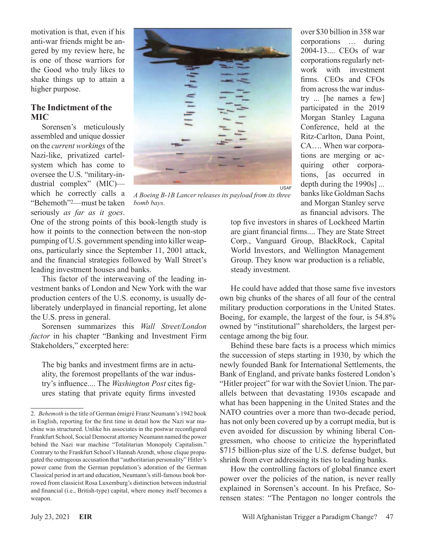motivation is that, even if his anti-war friends might be angered by my review here, he is one of those warriors for the Good who truly likes to shake things up to attain a higher purpose.

### **The Indictment of the MIC**

Sorensen's meticulously assembled and unique dossier on the *current workings* of the Nazi-like, privatized cartelsystem which has come to oversee the U.S. "military-industrial complex" (MIC) which he correctly calls a "Behemoth"2—must be taken seriously *as far as it goes*.



*A Boeing B-1B Lancer releases its payload from its three bomb bays.*

One of the strong points of this book-length study is how it points to the connection between the non-stop pumping of U.S. government spending into killer weapons, particularly since the September 11, 2001 attack, and the financial strategies followed by Wall Street's leading investment houses and banks.

This factor of the interweaving of the leading investment banks of London and New York with the war production centers of the U.S. economy, is usually deliberately underplayed in financial reporting, let alone the U.S. press in general.

Sorensen summarizes this *Wall Street/London factor* in his chapter "Banking and Investment Firm Stakeholders," excerpted here:

The big banks and investment firms are in actuality, the foremost propellants of the war industry's influence.... The *Washington Post* cites figures stating that private equity firms invested over \$30 billion in 358 war corporations … during 2004-13.... CEOs of war corporations regularly network with investment firms. CEOs and CFOs from across the war industry ... [he names a few] participated in the 2019 Morgan Stanley Laguna Conference, held at the Ritz-Carlton, Dana Point, CA…. When war corporations are merging or acquiring other corporations, [as occurred in depth during the 1990s] ... banks like Goldman Sachs and Morgan Stanley serve as financial advisors. The

top five investors in shares of Lockheed Martin are giant financial firms.... They are State Street Corp., Vanguard Group, BlackRock, Capital World Investors, and Wellington Management Group. They know war production is a reliable, steady investment.

He could have added that those same five investors own big chunks of the shares of all four of the central military production corporations in the United States. Boeing, for example, the largest of the four, is 54.8% owned by "institutional" shareholders, the largest percentage among the big four.

Behind these bare facts is a process which mimics the succession of steps starting in 1930, by which the newly founded Bank for International Settlements, the Bank of England, and private banks fostered London's "Hitler project" for war with the Soviet Union. The parallels between that devastating 1930s escapade and what has been happening in the United States and the NATO countries over a more than two-decade period, has not only been covered up by a corrupt media, but is even avoided for discussion by whining liberal Congressmen, who choose to criticize the hyperinflated \$715 billion-plus size of the U.S. defense budget, but shrink from ever addressing its ties to leading banks.

How the controlling factors of global finance exert power over the policies of the nation, is never really explained in Sorensen's account. In his Preface, Sorensen states: "The Pentagon no longer controls the

<sup>2.</sup> *Behemoth* is the title of German émigré Franz Neumann's 1942 book in English, reporting for the first time in detail how the Nazi war machine was structured. Unlike his associates in the postwar reconfigured Frankfurt School, Social Democrat attorney Neumann named the power behind the Nazi war machine "Totalitarian Monopoly Capitalism." Contrary to the Frankfurt School's Hannah Arendt, whose clique propagated the outrageous accusation that "authoritarian personality" Hitler's power came from the German population's adoration of the German Classical period in art and education, Neumann's still-famous book borrowed from classicist Rosa Luxemburg's distinction between industrial and financial (i.e., British-type) capital, where money itself becomes a weapon.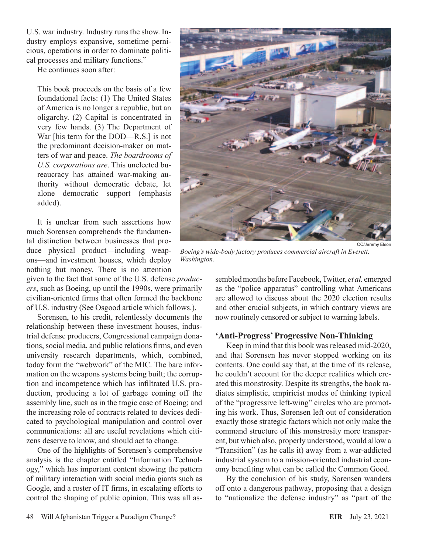U.S. war industry. Industry runs the show. Industry employs expansive, sometime pernicious, operations in order to dominate political processes and military functions."

He continues soon after:

This book proceeds on the basis of a few foundational facts: (1) The United States of America is no longer a republic, but an oligarchy. (2) Capital is concentrated in very few hands. (3) The Department of War [his term for the DOD—R.S.] is not the predominant decision-maker on matters of war and peace. *The boardrooms of U.S. corporations are*. This unelected bureaucracy has attained war-making authority without democratic debate, let alone democratic support (emphasis added).

It is unclear from such assertions how much Sorensen comprehends the fundamental distinction between businesses that produce physical product—including weapons—and investment houses, which deploy nothing but money. There is no attention

given to the fact that some of the U.S. defense *producers*, such as Boeing, up until the 1990s, were primarily civilian-oriented firms that often formed the backbone of U.S. industry (See Osgood article which follows.).

Sorensen, to his credit, relentlessly documents the relationship between these investment houses, industrial defense producers, Congressional campaign donations, social media, and public relations firms, and even university research departments, which, combined, today form the "webwork" of the MIC. The bare information on the weapons systems being built; the corruption and incompetence which has infiltrated U.S. production, producing a lot of garbage coming off the assembly line, such as in the tragic case of Boeing; and the increasing role of contracts related to devices dedicated to psychological manipulation and control over communications: all are useful revelations which citizens deserve to know, and should act to change.

One of the highlights of Sorensen's comprehensive analysis is the chapter entitled "Information Technology," which has important content showing the pattern of military interaction with social media giants such as Google, and a roster of IT firms, in escalating efforts to control the shaping of public opinion. This was all as-



*Boeing's wide-body factory produces commercial aircraft in Everett, Washington.*

sembled months before Facebook, Twitter, *et al.* emerged as the "police apparatus" controlling what Americans are allowed to discuss about the 2020 election results and other crucial subjects, in which contrary views are now routinely censored or subject to warning labels.

### **'Anti-Progress' Progressive Non-Thinking**

Keep in mind that this book was released mid-2020, and that Sorensen has never stopped working on its contents. One could say that, at the time of its release, he couldn't account for the deeper realities which created this monstrosity. Despite its strengths, the book radiates simplistic, empiricist modes of thinking typical of the "progressive left-wing" circles who are promoting his work. Thus, Sorensen left out of consideration exactly those strategic factors which not only make the command structure of this monstrosity more transparent, but which also, properly understood, would allow a "Transition" (as he calls it) away from a war-addicted industrial system to a mission-oriented industrial economy benefiting what can be called the Common Good.

By the conclusion of his study, Sorensen wanders off onto a dangerous pathway, proposing that a design to "nationalize the defense industry" as "part of the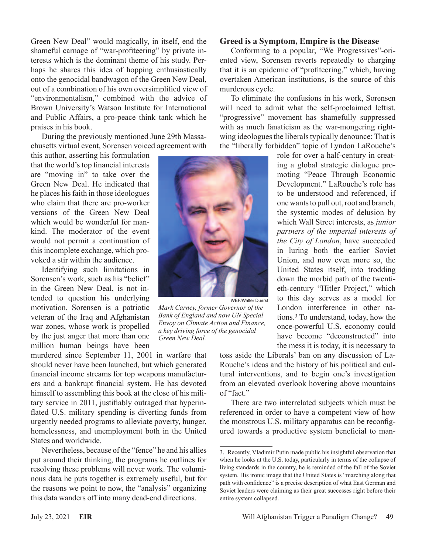Green New Deal" would magically, in itself, end the shameful carnage of "war-profiteering" by private interests which is the dominant theme of his study. Perhaps he shares this idea of hopping enthusiastically onto the genocidal bandwagon of the Green New Deal, out of a combination of his own oversimplified view of "environmentalism," combined with the advice of Brown University's Watson Institute for International and Public Affairs, a pro-peace think tank which he praises in his book.

During the previously mentioned June 29th Massachusetts virtual event, Sorensen voiced agreement with

this author, asserting his formulation that the world's top financial interests are "moving in" to take over the Green New Deal. He indicated that he places his faith in those ideologues who claim that there are pro-worker versions of the Green New Deal which would be wonderful for mankind. The moderator of the event would not permit a continuation of this incomplete exchange, which provoked a stir within the audience.

Identifying such limitations in Sorensen's work, such as his "belief" in the Green New Deal, is not intended to question his underlying motivation. Sorensen is a patriotic veteran of the Iraq and Afghanistan war zones, whose work is propelled by the just anger that more than one million human beings have been

murdered since September 11, 2001 in warfare that should never have been launched, but which generated financial income streams for top weapons manufacturers and a bankrupt financial system. He has devoted himself to assembling this book at the close of his military service in 2011, justifiably outraged that hyperinflated U.S. military spending is diverting funds from urgently needed programs to alleviate poverty, hunger, homelessness, and unemployment both in the United States and worldwide.

Nevertheless, because of the "fence" he and his allies put around their thinking, the programs he outlines for resolving these problems will never work. The voluminous data he puts together is extremely useful, but for the reasons we point to now, the "analysis" organizing this data wanders off into many dead-end directions.

# WEF/Walter Duerst

*Mark Carney, former Governor of the Bank of England and now UN Special Envoy on Climate Action and Finance, a key driving force of the genocidal Green New Deal.*

### **Greed is a Symptom, Empire is the Disease**

Conforming to a popular, "We Progressives"-oriented view, Sorensen reverts repeatedly to charging that it is an epidemic of "profiteering," which, having overtaken American institutions, is the source of this murderous cycle.

To eliminate the confusions in his work, Sorensen will need to admit what the self-proclaimed leftist, "progressive" movement has shamefully suppressed with as much fanaticism as the war-mongering rightwing ideologues the liberals typically denounce: That is the "liberally forbidden" topic of Lyndon LaRouche's

> role for over a half-century in creating a global strategic dialogue promoting "Peace Through Economic Development." LaRouche's role has to be understood and referenced, if one wants to pull out, root and branch, the systemic modes of delusion by which Wall Street interests, as *junior partners of the imperial interests of the City of London*, have succeeded in luring both the earlier Soviet Union, and now even more so, the United States itself, into trodding down the morbid path of the twentieth-century "Hitler Project," which to this day serves as a model for London interference in other nations.3 To understand, today, how the once-powerful U.S. economy could have become "deconstructed" into the mess it is today, it is necessary to

toss aside the Liberals' ban on any discussion of La-Rouche's ideas and the history of his political and cultural interventions, and to begin one's investigation from an elevated overlook hovering above mountains of "fact."

There are two interrelated subjects which must be referenced in order to have a competent view of how the monstrous U.S. military apparatus can be reconfigured towards a productive system beneficial to man-

<sup>3.</sup> Recently, Vladimir Putin made public his insightful observation that when he looks at the U.S. today, particularly in terms of the collapse of living standards in the country, he is reminded of the fall of the Soviet system. His ironic image that the United States is "marching along that path with confidence" is a precise description of what East German and Soviet leaders were claiming as their great successes right before their entire system collapsed.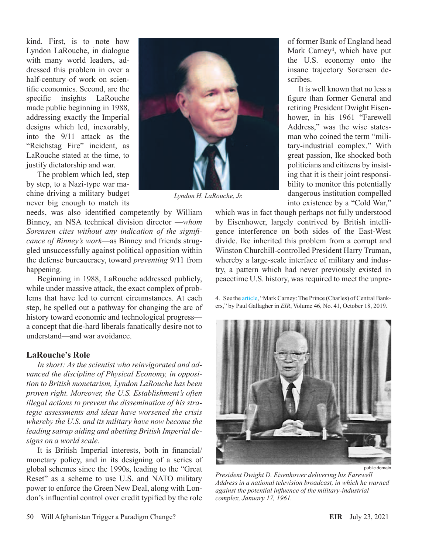kind. First, is to note how Lyndon LaRouche, in dialogue with many world leaders, addressed this problem in over a half-century of work on scientific economics. Second, are the specific insights LaRouche made public beginning in 1988, addressing exactly the Imperial designs which led, inexorably, into the 9/11 attack as the "Reichstag Fire" incident, as LaRouche stated at the time, to justify dictatorship and war.

The problem which led, step by step, to a Nazi-type war machine driving a military budget never big enough to match its

needs, was also identified competently by William Binney, an NSA technical division director —*whom Sorensen cites without any indication of the significance of Binney's work*—as Binney and friends struggled unsuccessfully against political opposition within the defense bureaucracy, toward *preventing* 9/11 from happening.

Beginning in 1988, LaRouche addressed publicly, while under massive attack, the exact complex of problems that have led to current circumstances. At each step, he spelled out a pathway for changing the arc of history toward economic and technological progress a concept that die-hard liberals fanatically desire not to understand—and war avoidance.

### **LaRouche's Role**

*In short: As the scientist who reinvigorated and advanced the discipline of Physical Economy, in opposition to British monetarism, Lyndon LaRouche has been proven right. Moreover, the U.S. Establishment's often illegal actions to prevent the dissemination of his strategic assessments and ideas have worsened the crisis whereby the U.S. and its military have now become the leading satrap aiding and abetting British Imperial designs on a world scale.*

It is British Imperial interests, both in financial/ monetary policy, and in its designing of a series of global schemes since the 1990s, leading to the "Great Reset" as a scheme to use U.S. and NATO military power to enforce the Green New Deal, along with London's influential control over credit typified by the role



*Lyndon H. LaRouche, Jr.*

of former Bank of England head Mark Carney<sup>4</sup>, which have put the U.S. economy onto the insane trajectory Sorensen describes.

It is well known that no less a figure than former General and retiring President Dwight Eisenhower, in his 1961 "Farewell Address," was the wise statesman who coined the term "military-industrial complex." With great passion, Ike shocked both politicians and citizens by insisting that it is their joint responsibility to monitor this potentially dangerous institution compelled into existence by a "Cold War,"

which was in fact though perhaps not fully understood by Eisenhower, largely contrived by British intelligence interference on both sides of the East-West divide. Ike inherited this problem from a corrupt and Winston Churchill-controlled President Harry Truman, whereby a large-scale interface of military and industry, a pattern which had never previously existed in peacetime U.S. history, was required to meet the unpre-

<sup>4.</sup> See the [article,](https://larouchepub.com/other/2019/4641-mark_carney_the_prince_charles.html) "Mark Carney: The Prince (Charles) of Central Bankers," by Paul Gallagher in *EIR*, Volume 46, No. 41, October 18, 2019.



*President Dwight D. Eisenhower delivering his Farewell Address in a national television broadcast, in which he warned against the potential influence of the military-industrial complex, January 17, 1961.*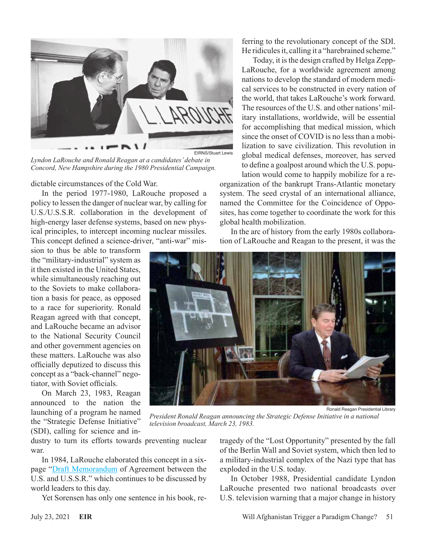

*Lyndon LaRouche and Ronald Reagan at a candidates' debate in Concord, New Hampshire during the 1980 Presidential Campaign.*

dictable circumstances of the Cold War.

In the period 1977-1980, LaRouche proposed a policy to lessen the danger of nuclear war, by calling for U.S./U.S.S.R. collaboration in the development of high-energy laser defense systems, based on new physical principles, to intercept incoming nuclear missiles. This concept defined a science-driver, "anti-war" mis-

sion to thus be able to transform the "military-industrial" system as it then existed in the United States, while simultaneously reaching out to the Soviets to make collaboration a basis for peace, as opposed to a race for superiority. Ronald Reagan agreed with that concept, and LaRouche became an advisor to the National Security Council and other government agencies on these matters. LaRouche was also officially deputized to discuss this concept as a "back-channel" negotiator, with Soviet officials.

On March 23, 1983, Reagan announced to the nation the launching of a program he named the "Strategic Defense Initiative" (SDI), calling for science and inferring to the revolutionary concept of the SDI. He ridicules it, calling it a "harebrained scheme."

Today, it is the design crafted by Helga Zepp-LaRouche, for a worldwide agreement among nations to develop the standard of modern medical services to be constructed in every nation of the world, that takes LaRouche's work forward. The resources of the U.S. and other nations' military installations, worldwide, will be essential for accomplishing that medical mission, which since the onset of COVID is no less than a mobilization to save civilization. This revolution in global medical defenses, moreover, has served to define a goalpost around which the U.S. population would come to happily mobilize for a re-

organization of the bankrupt Trans-Atlantic monetary system. The seed crystal of an international alliance, named the Committee for the Coincidence of Opposites, has come together to coordinate the work for this global health mobilization.

In the arc of history from the early 1980s collaboration of LaRouche and Reagan to the present, it was the



Ronald Reagan Presidential Library

*President Ronald Reagan announcing the Strategic Defense Initiative in a national television broadcast, March 23, 1983.*

dustry to turn its efforts towards preventing nuclear war.

In 1984, LaRouche elaborated this concept in a sixpage ["Draft Memorandum](https://larouchepub.com/eiw/public/1984/eirv11n15-19840417/eirv11n15-19840417_022-the_larouche_doctrine_draft_memo-lar.pdf) of Agreement between the U.S. and U.S.S.R." which continues to be discussed by world leaders to this day.

Yet Sorensen has only one sentence in his book, re-

tragedy of the "Lost Opportunity" presented by the fall of the Berlin Wall and Soviet system, which then led to a military-industrial complex of the Nazi type that has exploded in the U.S. today.

In October 1988, Presidential candidate Lyndon LaRouche presented two national broadcasts over U.S. television warning that a major change in history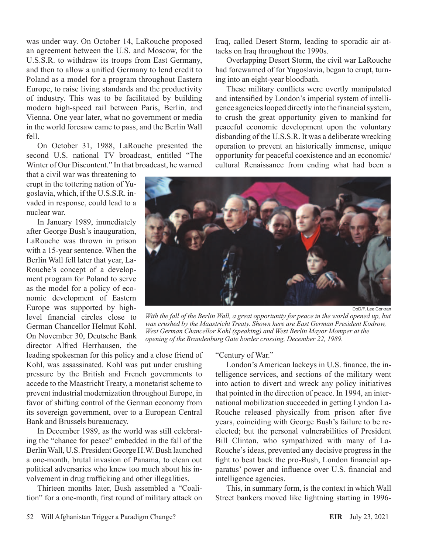was under way. On October 14, LaRouche proposed an agreement between the U.S. and Moscow, for the U.S.S.R. to withdraw its troops from East Germany, and then to allow a unified Germany to lend credit to Poland as a model for a program throughout Eastern Europe, to raise living standards and the productivity of industry. This was to be facilitated by building modern high-speed rail between Paris, Berlin, and Vienna. One year later, what no government or media in the world foresaw came to pass, and the Berlin Wall fell.

On October 31, 1988, LaRouche presented the second U.S. national TV broadcast, entitled "The Winter of Our Discontent." In that broadcast, he warned

that a civil war was threatening to erupt in the tottering nation of Yugoslavia, which, if the U.S.S.R. invaded in response, could lead to a nuclear war.

In January 1989, immediately after George Bush's inauguration, LaRouche was thrown in prison with a 15-year sentence. When the Berlin Wall fell later that year, La-Rouche's concept of a development program for Poland to serve as the model for a policy of economic development of Eastern Europe was supported by highlevel financial circles close to German Chancellor Helmut Kohl. On November 30, Deutsche Bank director Alfred Herrhausen, the Iraq, called Desert Storm, leading to sporadic air attacks on Iraq throughout the 1990s.

Overlapping Desert Storm, the civil war LaRouche had forewarned of for Yugoslavia, began to erupt, turning into an eight-year bloodbath.

These military conflicts were overtly manipulated and intensified by London's imperial system of intelligence agencies looped directly into the financial system, to crush the great opportunity given to mankind for peaceful economic development upon the voluntary disbanding of the U.S.S.R. It was a deliberate wrecking operation to prevent an historically immense, unique opportunity for peaceful coexistence and an economic/ cultural Renaissance from ending what had been a



DoD/F. Lee Corkran

*With the fall of the Berlin Wall, a great opportunity for peace in the world opened up, but was crushed by the Maastricht Treaty. Shown here are East German President Kodrow, West German Chancellor Kohl (speaking) and West Berlin Mayor Momper at the opening of the Brandenburg Gate border crossing, December 22, 1989.*

leading spokesman for this policy and a close friend of Kohl, was assassinated. Kohl was put under crushing pressure by the British and French governments to accede to the Maastricht Treaty, a monetarist scheme to prevent industrial modernization throughout Europe, in favor of shifting control of the German economy from its sovereign government, over to a European Central Bank and Brussels bureaucracy.

In December 1989, as the world was still celebrating the "chance for peace" embedded in the fall of the Berlin Wall, U.S. President George H.W. Bush launched a one-month, brutal invasion of Panama, to clean out political adversaries who knew too much about his involvement in drug trafficking and other illegalities.

Thirteen months later, Bush assembled a "Coalition" for a one-month, first round of military attack on "Century of War."

London's American lackeys in U.S. finance, the intelligence services, and sections of the military went into action to divert and wreck any policy initiatives that pointed in the direction of peace. In 1994, an international mobilization succeeded in getting Lyndon La-Rouche released physically from prison after five years, coinciding with George Bush's failure to be reelected; but the personal vulnerabilities of President Bill Clinton, who sympathized with many of La-Rouche's ideas, prevented any decisive progress in the fight to beat back the pro-Bush, London financial apparatus' power and influence over U.S. financial and intelligence agencies.

This, in summary form, is the context in which Wall Street bankers moved like lightning starting in 1996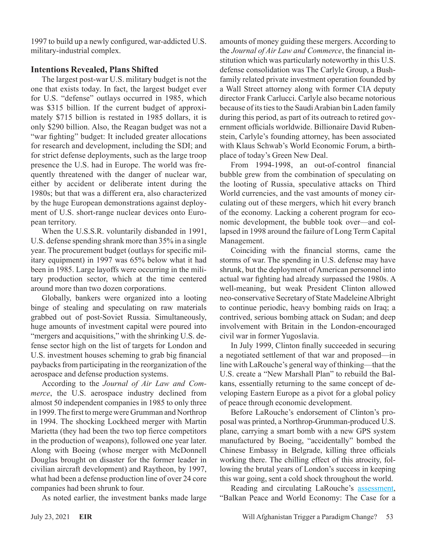1997 to build up a newly configured, war-addicted U.S. military-industrial complex.

### **Intentions Revealed, Plans Shifted**

The largest post-war U.S. military budget is not the one that exists today. In fact, the largest budget ever for U.S. "defense" outlays occurred in 1985, which was \$315 billion. If the current budget of approximately \$715 billion is restated in 1985 dollars, it is only \$290 billion. Also, the Reagan budget was not a "war fighting" budget: It included greater allocations for research and development, including the SDI; and for strict defense deployments, such as the large troop presence the U.S. had in Europe. The world was frequently threatened with the danger of nuclear war, either by accident or deliberate intent during the 1980s; but that was a different era, also characterized by the huge European demonstrations against deployment of U.S. short-range nuclear devices onto European territory.

When the U.S.S.R. voluntarily disbanded in 1991, U.S. defense spending shrank more than 35% in a single year. The procurement budget (outlays for specific military equipment) in 1997 was 65% below what it had been in 1985. Large layoffs were occurring in the military production sector, which at the time centered around more than two dozen corporations.

Globally, bankers were organized into a looting binge of stealing and speculating on raw materials grabbed out of post-Soviet Russia. Simultaneously, huge amounts of investment capital were poured into "mergers and acquisitions," with the shrinking U.S. defense sector high on the list of targets for London and U.S. investment houses scheming to grab big financial paybacks from participating in the reorganization of the aerospace and defense production systems.

According to the *Journal of Air Law and Commerce*, the U.S. aerospace industry declined from almost 50 independent companies in 1985 to only three in 1999. The first to merge were Grumman and Northrop in 1994. The shocking Lockheed merger with Martin Marietta (they had been the two top fierce competitors in the production of weapons), followed one year later. Along with Boeing (whose merger with McDonnell Douglas brought on disaster for the former leader in civilian aircraft development) and Raytheon, by 1997, what had been a defense production line of over 24 core companies had been shrunk to four.

As noted earlier, the investment banks made large

amounts of money guiding these mergers. According to the *Journal of Air Law and Commerce*, the financial institution which was particularly noteworthy in this U.S. defense consolidation was The Carlyle Group, a Bushfamily related private investment operation founded by a Wall Street attorney along with former CIA deputy director Frank Carlucci. Carlyle also became notorious because of its ties to the Saudi Arabian bin Laden family during this period, as part of its outreach to retired government officials worldwide. Billionaire David Rubenstein, Carlyle's founding attorney, has been associated with Klaus Schwab's World Economic Forum, a birthplace of today's Green New Deal.

From 1994-1998, an out-of-control financial bubble grew from the combination of speculating on the looting of Russia, speculative attacks on Third World currencies, and the vast amounts of money circulating out of these mergers, which hit every branch of the economy. Lacking a coherent program for economic development, the bubble took over—and collapsed in 1998 around the failure of Long Term Capital Management.

Coinciding with the financial storms, came the storms of war. The spending in U.S. defense may have shrunk, but the deployment of American personnel into actual war fighting had already surpassed the 1980s. A well-meaning, but weak President Clinton allowed neo-conservative Secretary of State Madeleine Albright to continue periodic, heavy bombing raids on Iraq; a contrived, serious bombing attack on Sudan; and deep involvement with Britain in the London-encouraged civil war in former Yugoslavia.

In July 1999, Clinton finally succeeded in securing a negotiated settlement of that war and proposed—in line with LaRouche's general way of thinking—that the U.S. create a "New Marshall Plan" to rebuild the Balkans, essentially returning to the same concept of developing Eastern Europe as a pivot for a global policy of peace through economic development.

Before LaRouche's endorsement of Clinton's proposal was printed, a Northrop-Grumman-produced U.S. plane, carrying a smart bomb with a new GPS system manufactured by Boeing, "accidentally" bombed the Chinese Embassy in Belgrade, killing three officials working there. The chilling effect of this atrocity, following the brutal years of London's success in keeping this war going, sent a cold shock throughout the world.

Reading and circulating LaRouche's [assessment](https://larouchepub.com/lar/1999/lar_balkan_peace_2625.html), "Balkan Peace and World Economy: The Case for a